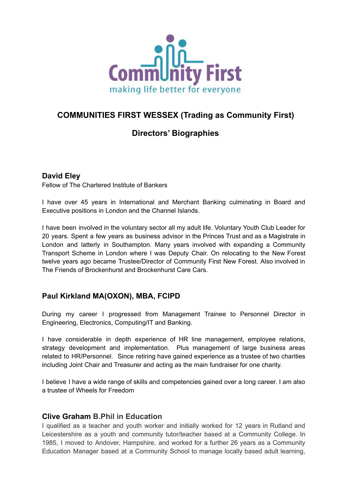

## **COMMUNITIES FIRST WESSEX (Trading as Community First)**

# **Directors' Biographies**

### **David Eley**

Fellow of The Chartered Institute of Bankers

I have over 45 years in International and Merchant Banking culminating in Board and Executive positions in London and the Channel Islands.

I have been involved in the voluntary sector all my adult life. Voluntary Youth Club Leader for 20 years. Spent a few years as business advisor in the Princes Trust and as a Magistrate in London and latterly in Southampton. Many years involved with expanding a Community Transport Scheme in London where I was Deputy Chair. On relocating to the New Forest twelve years ago became Trustee/Director of Community First New Forest. Also involved in The Friends of Brockenhurst and Brockenhurst Care Cars.

### **Paul Kirkland MA(OXON), MBA, FCIPD**

During my career I progressed from Management Trainee to Personnel Director in Engineering, Electronics, Computing/IT and Banking.

I have considerable in depth experience of HR line management, employee relations, strategy development and implementation. Plus management of large business areas related to HR/Personnel. Since retiring have gained experience as a trustee of two charities including Joint Chair and Treasurer and acting as the main fundraiser for one charity.

I believe I have a wide range of skills and competencies gained over a long career. I am also a trustee of Wheels for Freedom

#### **Clive Graham B.Phil in Education**

I qualified as a teacher and youth worker and initially worked for 12 years in Rutland and Leicestershire as a youth and community tutor/teacher based at a Community College. In 1985, I moved to Andover, Hampshire, and worked for a further 26 years as a Community Education Manager based at a Community School to manage locally based adult learning,